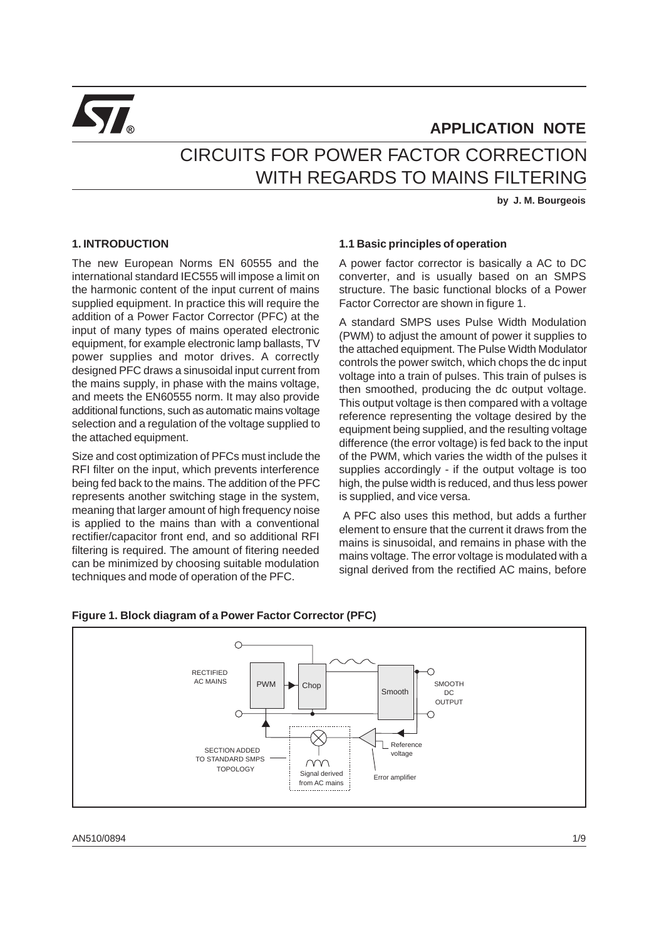

# **APPLICATION NOTE** CIRCUITS FOR POWER FACTOR CORRECTION WITH REGARDS TO MAINS FILTERING

**by J. M. Bourgeois**

## **1. INTRODUCTION**

The new European Norms EN 60555 and the international standard IEC555 will impose a limit on the harmonic content of the input current of mains supplied equipment. In practice this will require the addition of a Power Factor Corrector (PFC) at the input of many types of mains operated electronic equipment, for example electronic lamp ballasts, TV power supplies and motor drives. A correctly designed PFC draws a sinusoidal input current from the mains supply, in phase with the mains voltage, and meets the EN60555 norm. It may also provide additional functions, such as automatic mains voltage selection and a regulation of the voltage supplied to the attached equipment.

Size and cost optimization of PFCs must include the RFI filter on the input, which prevents interference being fed back to the mains. The addition of the PFC represents another switching stage in the system, meaning that larger amount of high frequency noise is applied to the mains than with a conventional rectifier/capacitor front end, and so additional RFI filtering is required. The amount of fitering needed can be minimized by choosing suitable modulation techniques and mode of operation of the PFC.

#### **1.1 Basic principles of operation**

A power factor corrector is basically a AC to DC converter, and is usually based on an SMPS structure. The basic functional blocks of a Power Factor Corrector are shown in figure 1.

A standard SMPS uses Pulse Width Modulation (PWM) to adjust the amount of power it supplies to the attached equipment. The Pulse Width Modulator controls the power switch, which chops the dc input voltage into a train of pulses. This train of pulses is then smoothed, producing the dc output voltage. This output voltage is then compared with a voltage reference representing the voltage desired by the equipment being supplied, and the resulting voltage difference (the error voltage) is fed back to the input of the PWM, which varies the width of the pulses it supplies accordingly - if the output voltage is too high, the pulse width is reduced, and thus less power is supplied, and vice versa.

 A PFC also uses this method, but adds a further element to ensure that the current it draws from the mains is sinusoidal, and remains in phase with the mains voltage. The error voltage is modulated with a signal derived from the rectified AC mains, before



#### **Figure 1. Block diagram of a Power Factor Corrector (PFC)**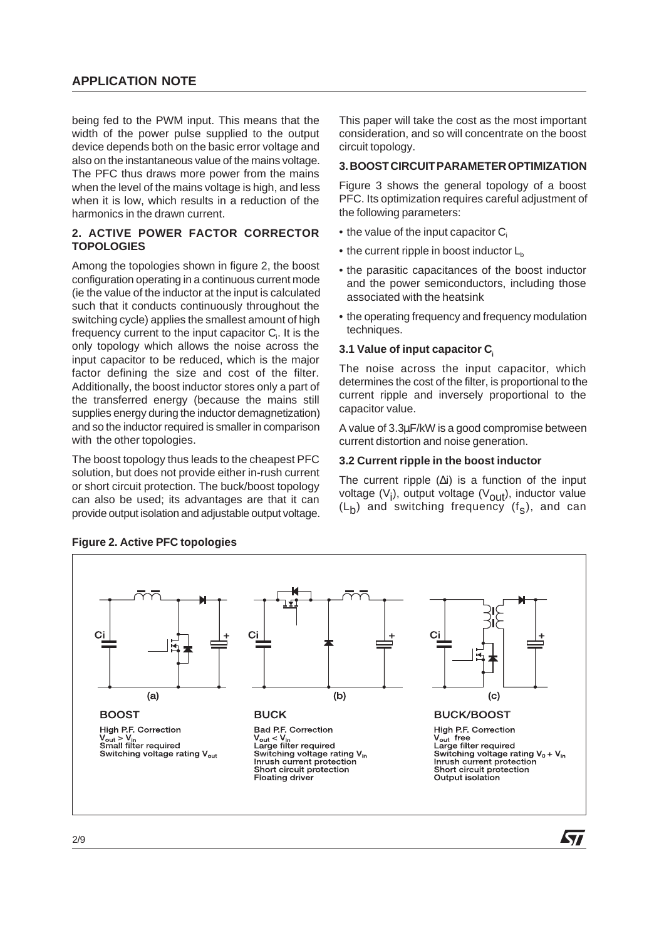## **APPLICATION NOTE**

being fed to the PWM input. This means that the width of the power pulse supplied to the output device depends both on the basic error voltage and also on the instantaneous value of the mains voltage. The PFC thus draws more power from the mains when the level of the mains voltage is high, and less when it is low, which results in a reduction of the harmonics in the drawn current.

## **2. ACTIVE POWER FACTOR CORRECTOR TOPOLOGIES**

Among the topologies shown in figure 2, the boost configuration operating in a continuous current mode (ie the value of the inductor at the input is calculated such that it conducts continuously throughout the switching cycle) applies the smallest amount of high frequency current to the input capacitor  $C_i$ . It is the only topology which allows the noise across the input capacitor to be reduced, which is the major factor defining the size and cost of the filter. Additionally, the boost inductor stores only a part of the transferred energy (because the mains still supplies energy during the inductor demagnetization) and so the inductor required is smaller in comparison with the other topologies.

The boost topology thus leads to the cheapest PFC solution, but does not provide either in-rush current or short circuit protection. The buck/boost topology can also be used; its advantages are that it can provide output isolation and adjustable output voltage. This paper will take the cost as the most important consideration, and so will concentrate on the boost circuit topology.

#### **3. BOOST CIRCUIT PARAMETER OPTIMIZATION**

Figure 3 shows the general topology of a boost PFC. Its optimization requires careful adjustment of the following parameters:

- $\bullet$  the value of the input capacitor  $C_i$
- $\bullet$  the current ripple in boost inductor  $L_{\rm b}$
- the parasitic capacitances of the boost inductor and the power semiconductors, including those associated with the heatsink
- the operating frequency and frequency modulation techniques.

#### **3.1 Value of input capacitor Ci**

The noise across the input capacitor, which determines the cost of the filter, is proportional to the current ripple and inversely proportional to the capacitor value.

A value of 3.3µF/kW is a good compromise between current distortion and noise generation.

## **3.2 Current ripple in the boost inductor**

The current ripple  $(∆i)$  is a function of the input voltage (V<sub>i</sub>), output voltage (V<sub>OUt</sub>), inductor value  $(L_h)$  and switching frequency  $(f_s)$ , and can

**ST** 



## **Figure 2. Active PFC topologies**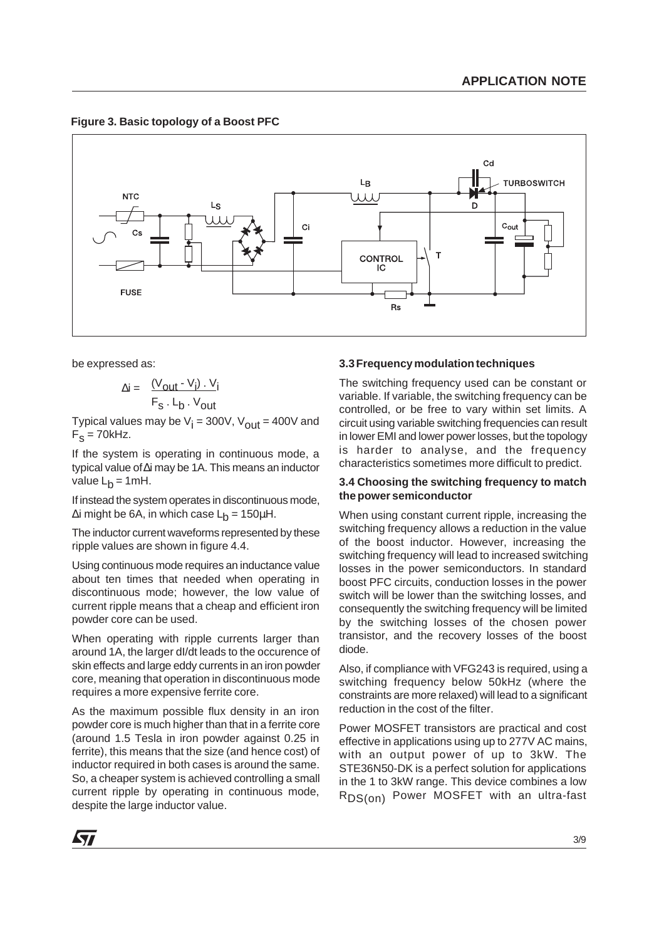**Figure 3. Basic topology of a Boost PFC**



be expressed as:

$$
\Delta i = \frac{(V_{\text{out}} - V_i) \cdot V_i}{F_s \cdot L_b \cdot V_{\text{out}}}
$$

Typical values may be  $V_i = 300V$ ,  $V_{\text{out}} = 400V$  and  $F<sub>e</sub> = 70$ kHz.

If the system is operating in continuous mode, a typical value of∆i may be 1A. This means an inductor value  $L_b = 1$ mH.

If instead the system operates in discontinuous mode,  $\Delta$ i might be 6A, in which case L<sub>b</sub> = 150µH.

The inductor current waveforms represented by these ripple values are shown in figure 4.4.

Using continuous mode requires an inductance value about ten times that needed when operating in discontinuous mode; however, the low value of current ripple means that a cheap and efficient iron powder core can be used.

When operating with ripple currents larger than around 1A, the larger dI/dt leads to the occurence of skin effects and large eddy currents in an iron powder core, meaning that operation in discontinuous mode requires a more expensive ferrite core.

As the maximum possible flux density in an iron powder core is much higher than that in a ferrite core (around 1.5 Tesla in iron powder against 0.25 in ferrite), this means that the size (and hence cost) of inductor required in both cases is around the same. So, a cheaper system is achieved controlling a small current ripple by operating in continuous mode, despite the large inductor value.

## **3.3 Frequency modulation techniques**

The switching frequency used can be constant or variable. If variable, the switching frequency can be controlled, or be free to vary within set limits. A circuit using variable switching frequencies can result in lower EMI and lower power losses, but the topology is harder to analyse, and the frequency characteristics sometimes more difficult to predict.

#### **3.4 Choosing the switching frequency to match the power semiconductor**

When using constant current ripple, increasing the switching frequency allows a reduction in the value of the boost inductor. However, increasing the switching frequency will lead to increased switching losses in the power semiconductors. In standard boost PFC circuits, conduction losses in the power switch will be lower than the switching losses, and consequently the switching frequency will be limited by the switching losses of the chosen power transistor, and the recovery losses of the boost diode.

Also, if compliance with VFG243 is required, using a switching frequency below 50kHz (where the constraints are more relaxed) will lead to a significant reduction in the cost of the filter.

Power MOSFET transistors are practical and cost effective in applications using up to 277V AC mains, with an output power of up to 3kW. The STE36N50-DK is a perfect solution for applications in the 1 to 3kW range. This device combines a low RDS(on) Power MOSFET with an ultra-fast

**ST**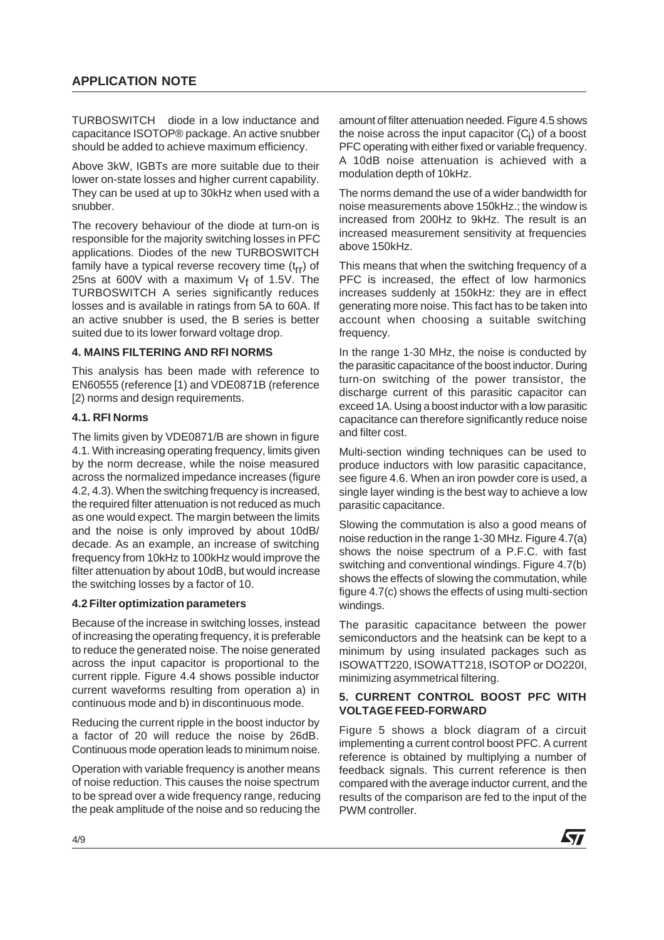TURBOSWITCH™ diode in a low inductance and capacitance ISOTOP® package. An active snubber should be added to achieve maximum efficiency.

Above 3kW, IGBTs are more suitable due to their lower on-state losses and higher current capability. They can be used at up to 30kHz when used with a snubber.

The recovery behaviour of the diode at turn-on is responsible for the majority switching losses in PFC applications. Diodes of the new TURBOSWITCH family have a typical reverse recovery time  $(t_{rr})$  of 25ns at 600V with a maximum  $V_f$  of 1.5V. The TURBOSWITCH A series significantly reduces losses and is available in ratings from 5A to 60A. If an active snubber is used, the B series is better suited due to its lower forward voltage drop.

## **4. MAINS FILTERING AND RFI NORMS**

This analysis has been made with reference to EN60555 (reference [1) and VDE0871B (reference [2) norms and design requirements.

## **4.1. RFI Norms**

The limits given by VDE0871/B are shown in figure 4.1. With increasing operating frequency, limits given by the norm decrease, while the noise measured across the normalized impedance increases (figure 4.2, 4.3). When the switching frequency is increased, the required filter attenuation is not reduced as much as one would expect. The margin between the limits and the noise is only improved by about 10dB/ decade. As an example, an increase of switching frequency from 10kHz to 100kHz would improve the filter attenuation by about 10dB, but would increase the switching losses by a factor of 10.

## **4.2 Filter optimization parameters**

Because of the increase in switching losses, instead of increasing the operating frequency, it is preferable to reduce the generated noise. The noise generated across the input capacitor is proportional to the current ripple. Figure 4.4 shows possible inductor current waveforms resulting from operation a) in continuous mode and b) in discontinuous mode.

Reducing the current ripple in the boost inductor by a factor of 20 will reduce the noise by 26dB. Continuous mode operation leads to minimum noise.

Operation with variable frequency is another means of noise reduction. This causes the noise spectrum to be spread over a wide frequency range, reducing the peak amplitude of the noise and so reducing the amount of filter attenuation needed. Figure 4.5 shows the noise across the input capacitor  $(C_j)$  of a boost PFC operating with either fixed or variable frequency. A 10dB noise attenuation is achieved with a modulation depth of 10kHz.

The norms demand the use of a wider bandwidth for noise measurements above 150kHz.; the window is increased from 200Hz to 9kHz. The result is an increased measurement sensitivity at frequencies above 150kHz.

This means that when the switching frequency of a PFC is increased, the effect of low harmonics increases suddenly at 150kHz: they are in effect generating more noise. This fact has to be taken into account when choosing a suitable switching frequency.

In the range 1-30 MHz, the noise is conducted by the parasitic capacitance of the boost inductor. During turn-on switching of the power transistor, the discharge current of this parasitic capacitor can exceed 1A. Using a boost inductor with a low parasitic capacitance can therefore significantly reduce noise and filter cost.

Multi-section winding techniques can be used to produce inductors with low parasitic capacitance, see figure 4.6. When an iron powder core is used, a single layer winding is the best way to achieve a low parasitic capacitance.

Slowing the commutation is also a good means of noise reduction in the range 1-30 MHz. Figure 4.7(a) shows the noise spectrum of a P.F.C. with fast switching and conventional windings. Figure 4.7(b) shows the effects of slowing the commutation, while figure 4.7(c) shows the effects of using multi-section windings.

The parasitic capacitance between the power semiconductors and the heatsink can be kept to a minimum by using insulated packages such as ISOWATT220, ISOWATT218, ISOTOP or DO220I, minimizing asymmetrical filtering.

## **5. CURRENT CONTROL BOOST PFC WITH VOLTAGE FEED-FORWARD**

Figure 5 shows a block diagram of a circuit implementing a current control boost PFC. A current reference is obtained by multiplying a number of feedback signals. This current reference is then compared with the average inductor current, and the results of the comparison are fed to the input of the PWM controller.

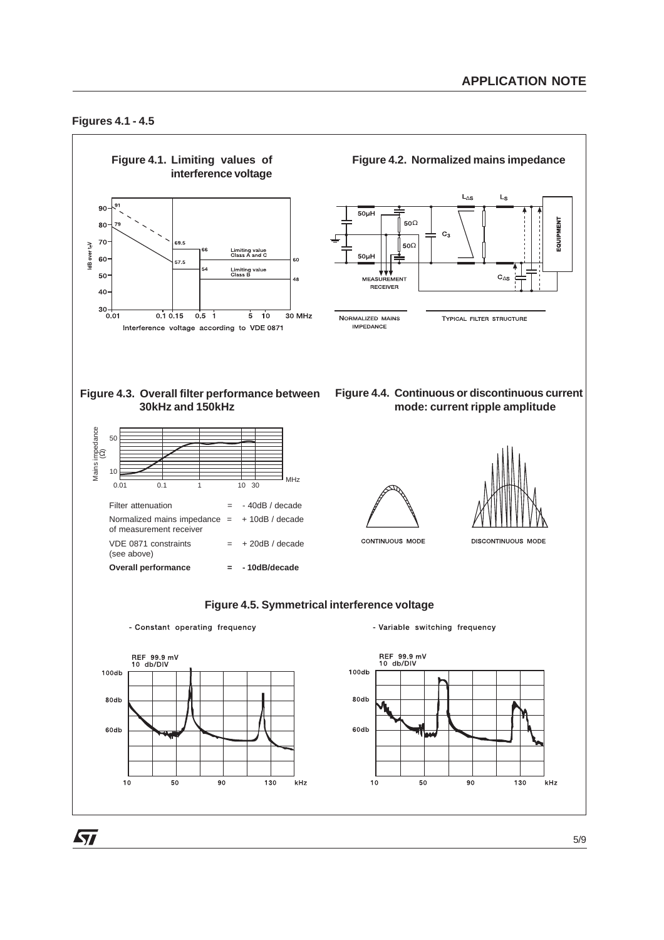

 $\sqrt{2}$ 



5/9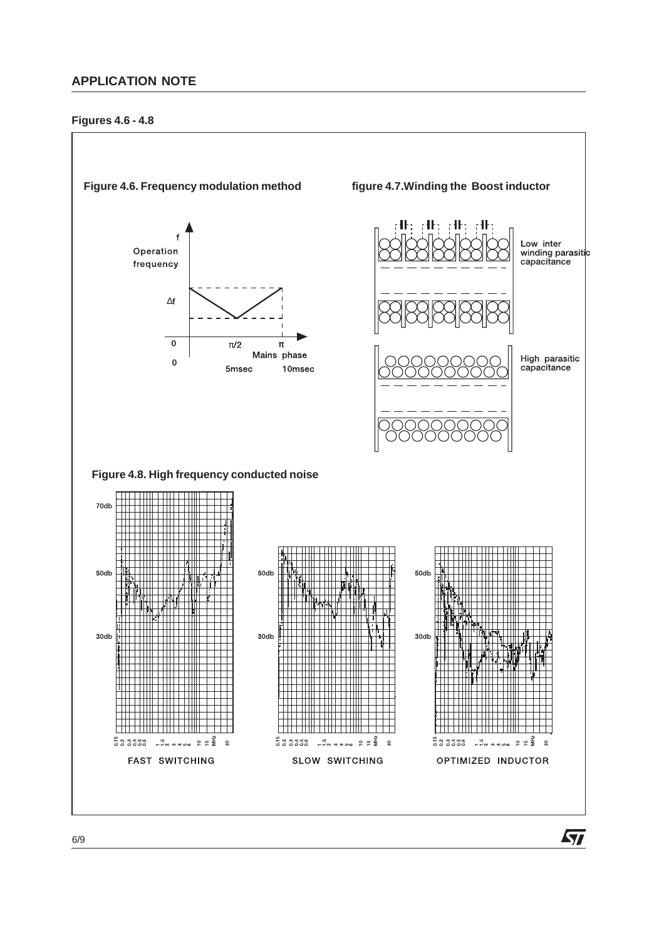# **APPLICATION NOTE**

## **Figures 4.6 - 4.8**



6/9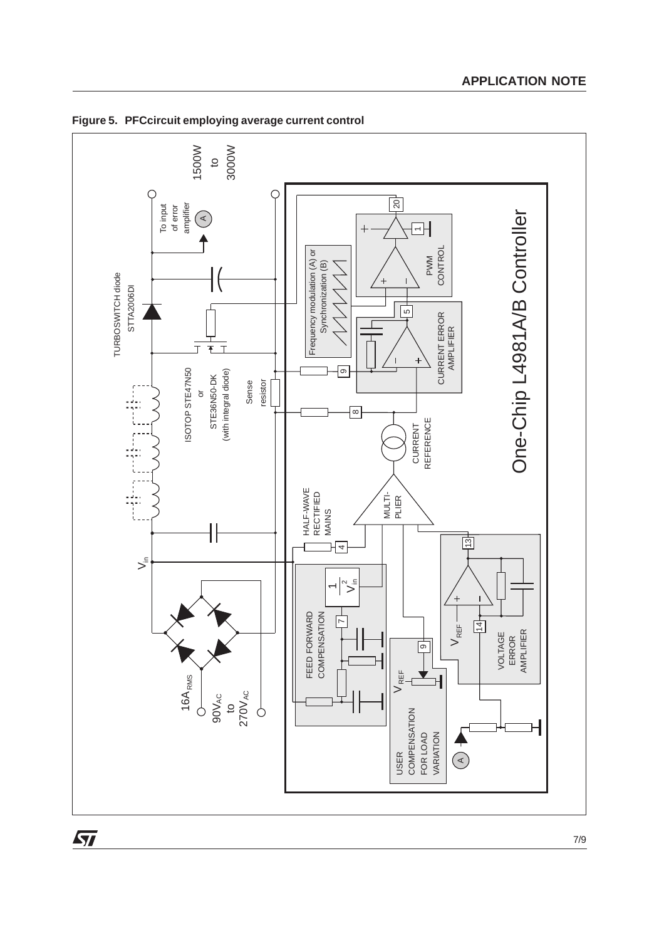

**Figure 5. PFCcircuit employing average current control**

 $\sqrt{M}$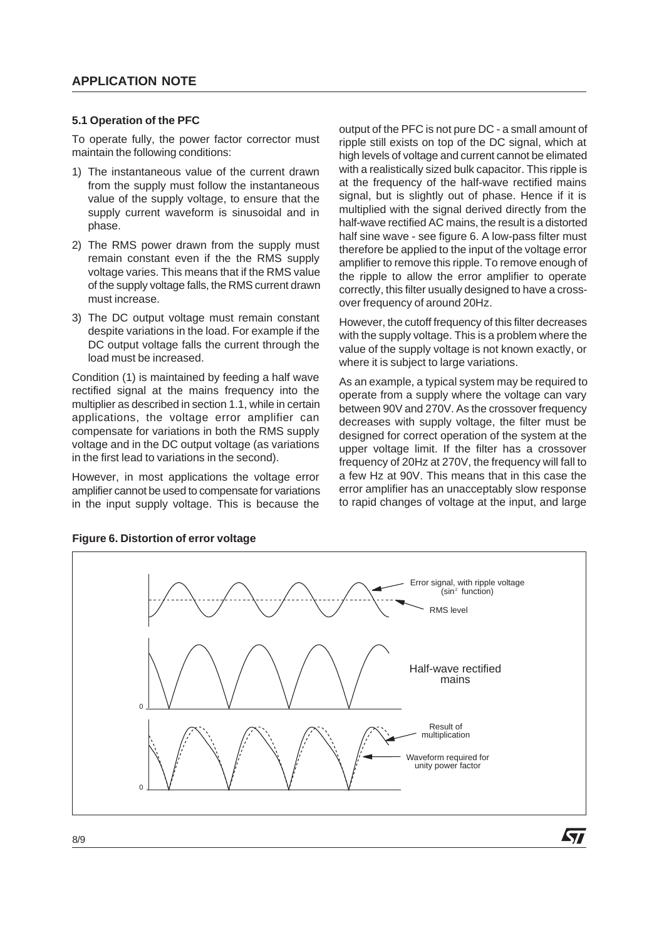## **5.1 Operation of the PFC**

To operate fully, the power factor corrector must maintain the following conditions:

- 1) The instantaneous value of the current drawn from the supply must follow the instantaneous value of the supply voltage, to ensure that the supply current waveform is sinusoidal and in phase.
- 2) The RMS power drawn from the supply must remain constant even if the the RMS supply voltage varies. This means that if the RMS value of the supply voltage falls, the RMS current drawn must increase.
- 3) The DC output voltage must remain constant despite variations in the load. For example if the DC output voltage falls the current through the load must be increased.

Condition (1) is maintained by feeding a half wave rectified signal at the mains frequency into the multiplier as described in section 1.1, while in certain applications, the voltage error amplifier can compensate for variations in both the RMS supply voltage and in the DC output voltage (as variations in the first lead to variations in the second).

However, in most applications the voltage error amplifier cannot be used to compensate for variations in the input supply voltage. This is because the

output of the PFC is not pure DC - a small amount of ripple still exists on top of the DC signal, which at high levels of voltage and current cannot be elimated with a realistically sized bulk capacitor. This ripple is at the frequency of the half-wave rectified mains signal, but is slightly out of phase. Hence if it is multiplied with the signal derived directly from the half-wave rectified AC mains, the result is a distorted half sine wave - see figure 6. A low-pass filter must therefore be applied to the input of the voltage error amplifier to remove this ripple. To remove enough of the ripple to allow the error amplifier to operate correctly, this filter usually designed to have a crossover frequency of around 20Hz.

However, the cutoff frequency of this filter decreases with the supply voltage. This is a problem where the value of the supply voltage is not known exactly, or where it is subject to large variations.

As an example, a typical system may be required to operate from a supply where the voltage can vary between 90V and 270V. As the crossover frequency decreases with supply voltage, the filter must be designed for correct operation of the system at the upper voltage limit. If the filter has a crossover frequency of 20Hz at 270V, the frequency will fall to a few Hz at 90V. This means that in this case the error amplifier has an unacceptably slow response to rapid changes of voltage at the input, and large

**Sy** 



**Figure 6. Distortion of error voltage**